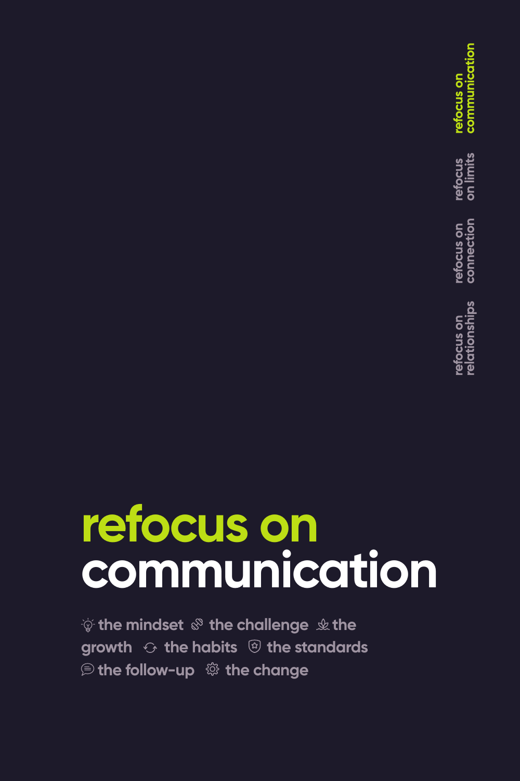refocus on<br>communication refocus<br>on limits refocus on<br>connection efocus on<br>elationships

# **refocus on communication**

 $\psi$  the mindset  $\mathcal{F}$  the challenge  $\psi$  the **growth the habits the standards <b>**  the follow-up  $\otimes$  the change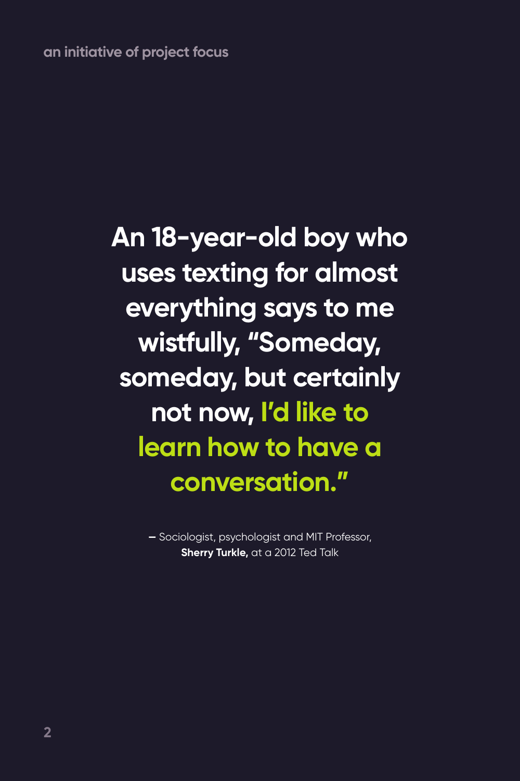**an initiative of project focus**

**An 18-year-old boy who uses texting for almost everything says to me wistfully, "Someday, someday, but certainly not now, I'd like to learn how to have a conversation."**

> **—** Sociologist, psychologist and MIT Professor, **Sherry Turkle,** at a 2012 Ted Talk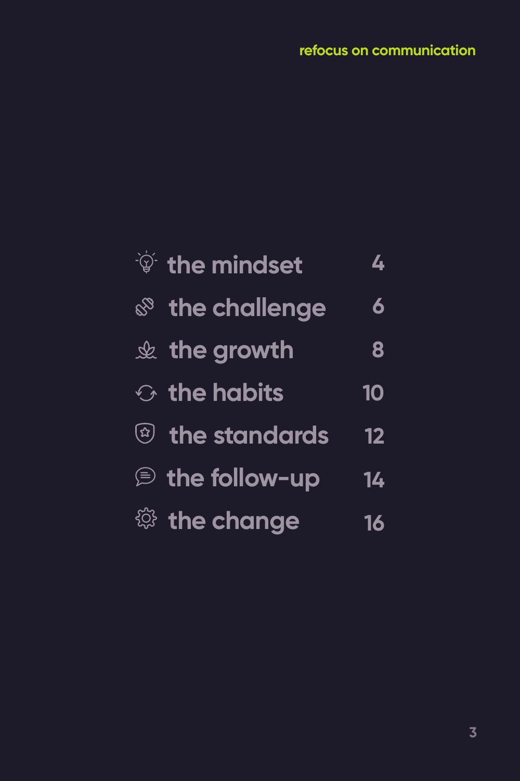| $\sqrt{\hat{p}}$ the mindset | 4  |
|------------------------------|----|
| <b>&amp; the challenge</b>   | 6  |
| $\&$ the growth              | 8  |
| $\odot$ the habits           | 10 |
| <sup>3</sup> the standards   | 12 |
| the follow-up                | 14 |
| <sup>2</sup> the change      | 16 |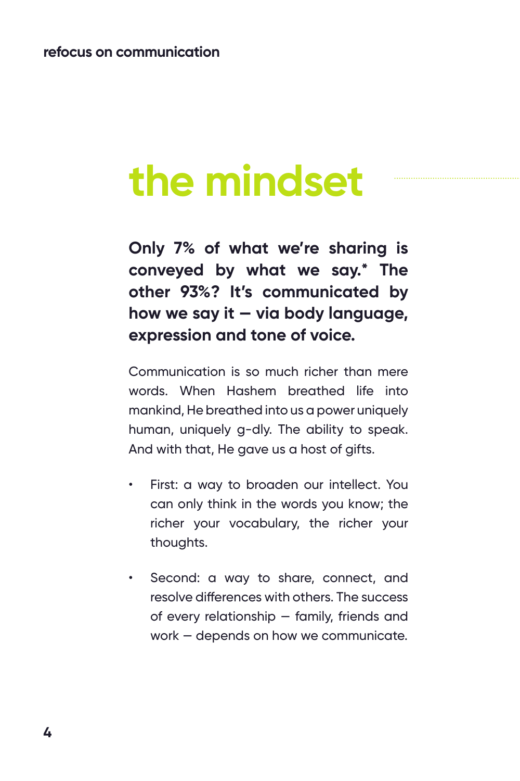## **the mindset**

**Only 7% of what we're sharing is conveyed by what we say.\* The other 93%? It's communicated by how we say it — via body language, expression and tone of voice.** 

Communication is so much richer than mere words. When Hashem breathed life into mankind, He breathed into us a power uniquely human, uniquely g-dly. The ability to speak. And with that, He gave us a host of gifts.

- First: a way to broaden our intellect. You can only think in the words you know; the richer your vocabulary, the richer your thoughts.
- Second: a way to share, connect, and resolve differences with others. The success of every relationship — family, friends and work — depends on how we communicate.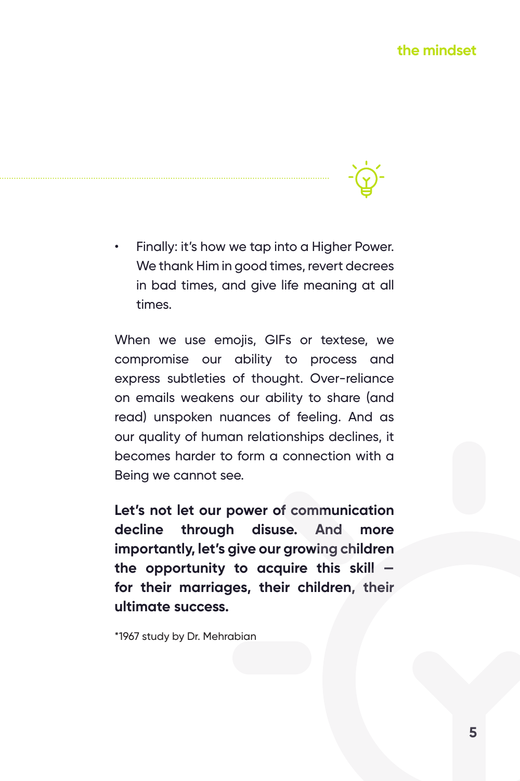• Finally: it's how we tap into a Higher Power. We thank Him in good times, revert decrees in bad times, and give life meaning at all times.

When we use emojis, GIFs or textese, we compromise our ability to process and express subtleties of thought. Over-reliance on emails weakens our ability to share (and read) unspoken nuances of feeling. And as our quality of human relationships declines, it becomes harder to form a connection with a Being we cannot see.

**Let's not let our power of communication decline through disuse. And more importantly, let's give our growing children the opportunity to acquire this skill for their marriages, their children, their ultimate success.**

\*1967 study by Dr. Mehrabian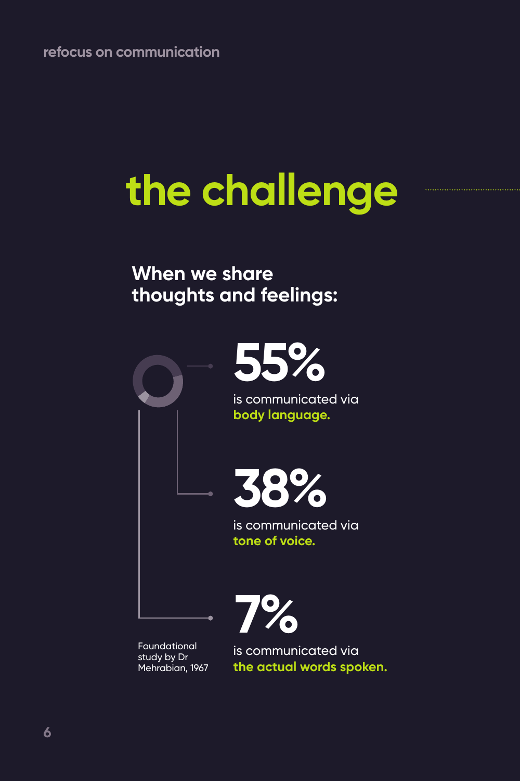# **the challenge**

### **When we share thoughts and feelings:**



Foundational study by Dr Mehrabian, 1967

is communicated via **the actual words spoken.**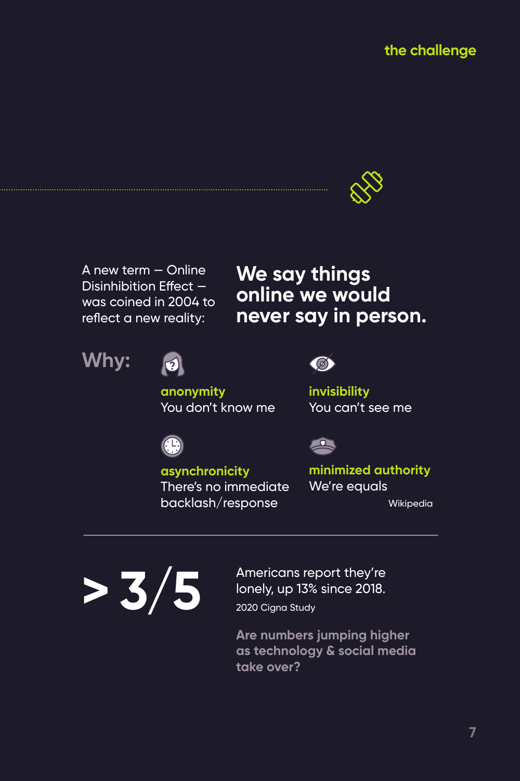

A new term — Online Disinhibition Effect was coined in 2004 to reflect a new reality:

### **We say things online we would never say in person.**





**anonymity** You don't know me



 $\mathbf{R}$ 

**invisibility** You can't see me



**asynchronicity** There's no immediate backlash/response

**minimized authority** We're equals

Wikipedia



2020 Cigna Study Americans report they're lonely, up 13% since 2018.

**Are numbers jumping higher as technology & social media take over?**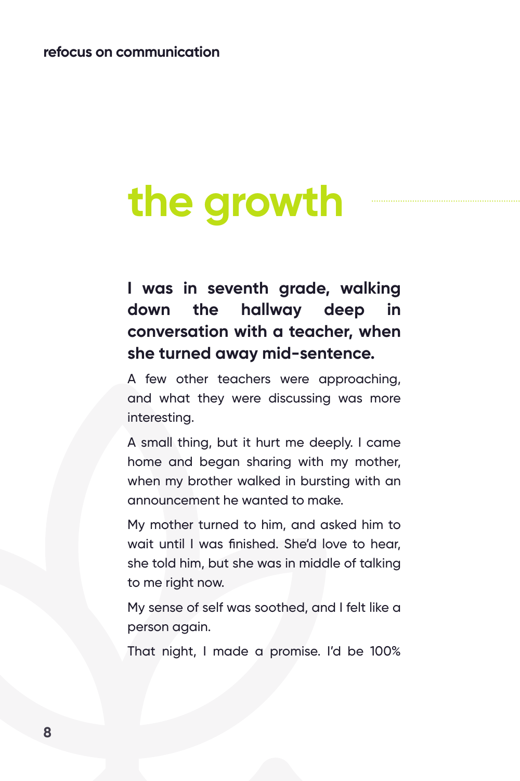## **the growth**

**I was in seventh grade, walking down the hallway deep in conversation with a teacher, when she turned away mid-sentence.**

A few other teachers were approaching, and what they were discussing was more interesting.

A small thing, but it hurt me deeply. I came home and began sharing with my mother, when my brother walked in bursting with an announcement he wanted to make.

My mother turned to him, and asked him to wait until I was finished. She'd love to hear, she told him, but she was in middle of talking to me right now.

My sense of self was soothed, and I felt like a person again.

That night, I made a promise. I'd be 100%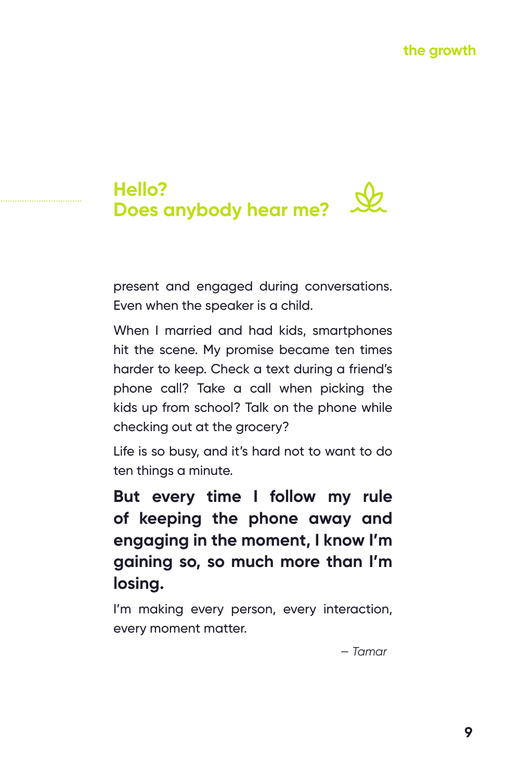#### **Hello?**  $\mathcal{A}$ **Does anybody hear me?**

present and engaged during conversations. Even when the speaker is a child.

When I married and had kids, smartphones hit the scene. My promise became ten times harder to keep. Check a text during a friend's phone call? Take a call when picking the kids up from school? Talk on the phone while checking out at the grocery?

Life is so busy, and it's hard not to want to do ten things a minute.

**But every time I follow my rule of keeping the phone away and engaging in the moment, I know I'm gaining so, so much more than I'm losing.**

I'm making every person, every interaction, every moment matter.

*— Tamar*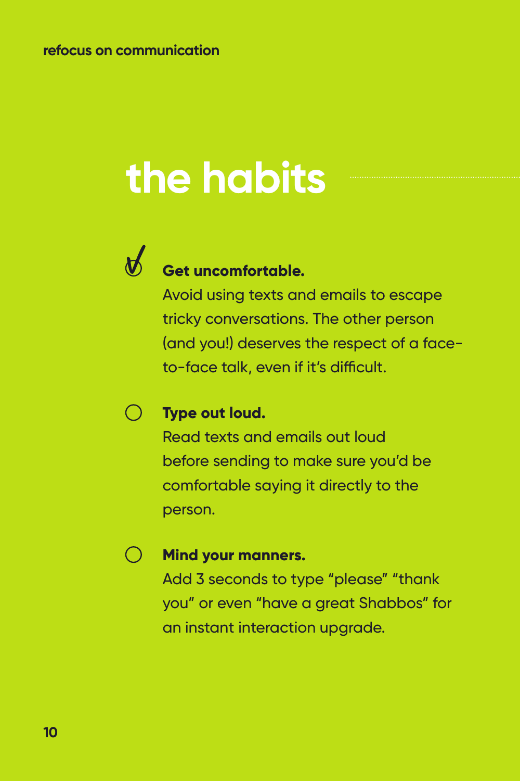# **the habits**



### **Get uncomfortable.**

Avoid using texts and emails to escape tricky conversations. The other person (and you!) deserves the respect of a faceto-face talk, even if it's difficult.

#### $\left(\begin{array}{c} \end{array}\right)$ **Type out loud.**

Read texts and emails out loud before sending to make sure you'd be comfortable saying it directly to the person.

#### **Mind your manners.**

Add 3 seconds to type "please" "thank you" or even "have a great Shabbos" for an instant interaction upgrade.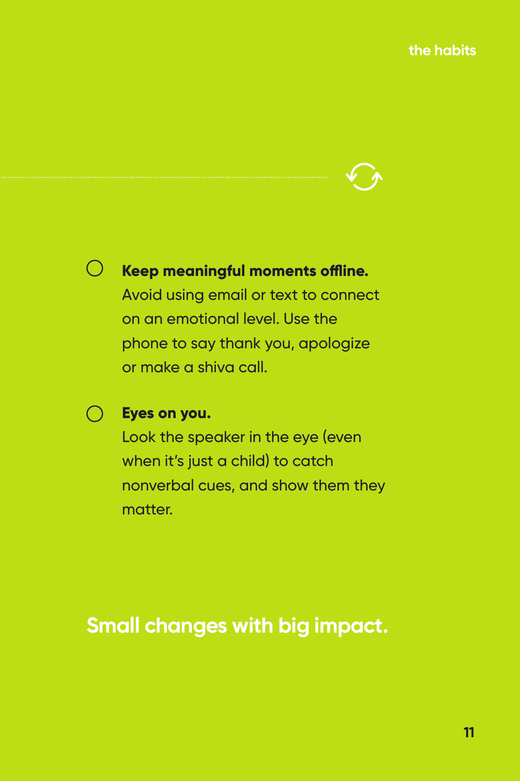

#### $\bigcirc$ **Keep meaningful moments offline.**

Avoid using email or text to connect on an emotional level. Use the phone to say thank you, apologize or make a shiva call.

#### **Eyes on you.**

Look the speaker in the eye (even when it's just a child) to catch nonverbal cues, and show them they matter.

### **Small changes with big impact.**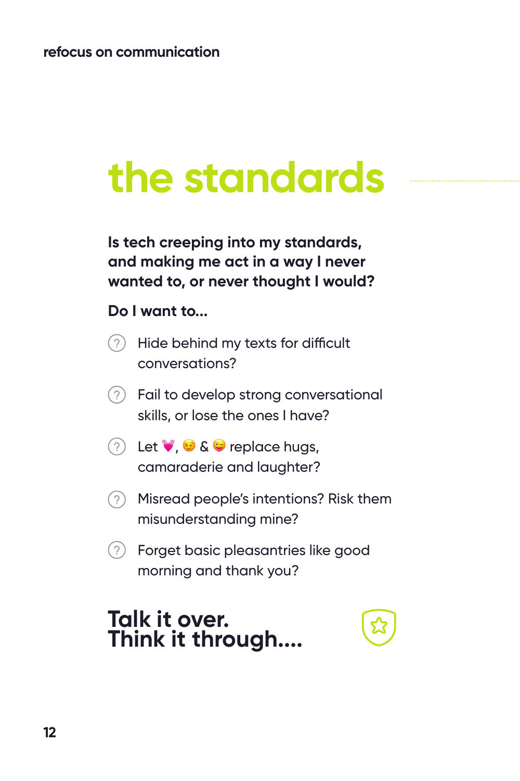## **the standards**

**Is tech creeping into my standards, and making me act in a way I never wanted to, or never thought I would?** 

#### **Do I want to...**

- $(2)$ Hide behind my texts for difficult conversations?
- $(2)$  Fail to develop strong conversational skills, or lose the ones I have?
- $(2)$  Let  $\vee$ ,  $\odot$  &  $\ominus$  replace hugs, camaraderie and laughter?
- Misread people's intentions? Risk them misunderstanding mine?
- $(2)$  Forget basic pleasantries like good morning and thank you?

### **Talk it over. Think it through....**

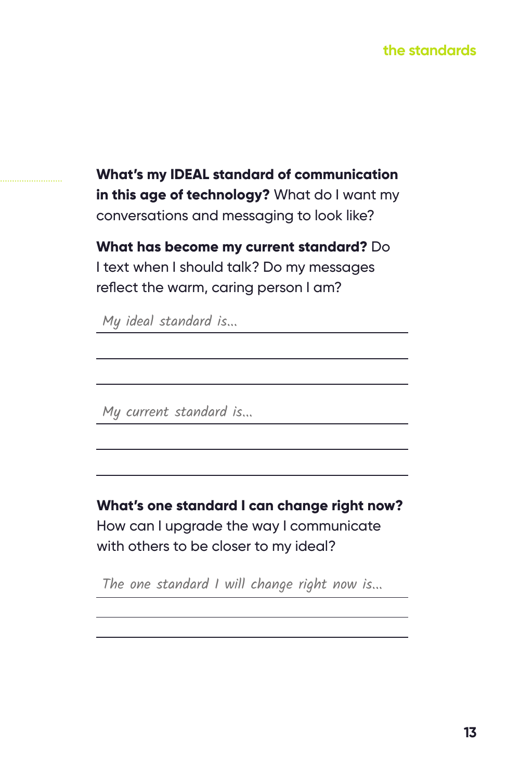#### **the standards**

**What's my IDEAL standard of communication in this age of technology?** What do I want my conversations and messaging to look like?

**What has become my current standard?** Do I text when I should talk? Do my messages reflect the warm, caring person I am?

My ideal standard is...

My current standard is...

**What's one standard I can change right now?**  How can I upgrade the way I communicate with others to be closer to my ideal?

The one standard I will change right now is...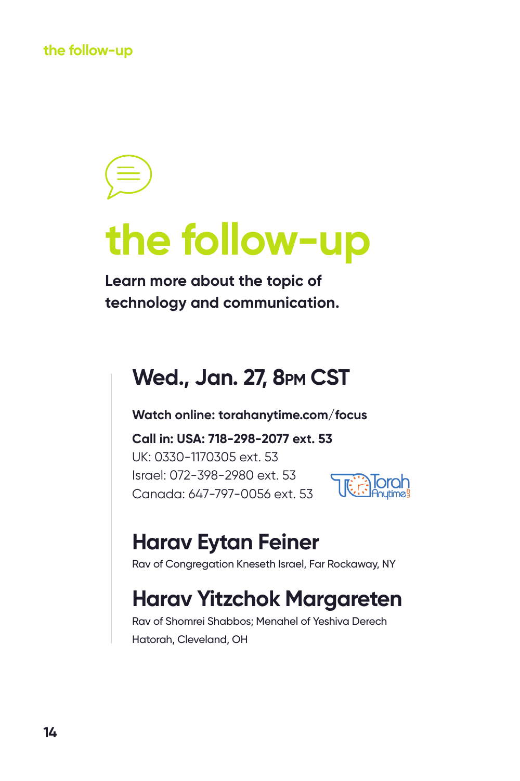**the follow-up**

## **the follow-up**

**Learn more about the topic of technology and communication.**

### **Wed., Jan. 27, 8pm CST**

**Watch online: torahanytime.com/focus**

**Call in: USA: 718-298-2077 ext. 53** UK: 0330-1170305 ext. 53 Israel: 072-398-2980 ext. 53 Canada: 647-797-0056 ext. 53



### **Harav Eytan Feiner**

Rav of Congregation Kneseth Israel, Far Rockaway, NY

## **Harav Yitzchok Margareten**

Rav of Shomrei Shabbos; Menahel of Yeshiva Derech Hatorah, Cleveland, OH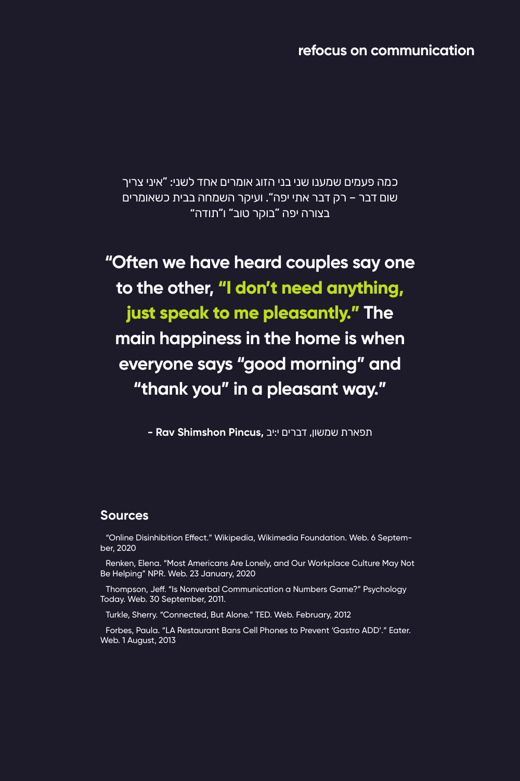**refocus on communication**

כמה פעמים שמענו שני בני הזוג אומרים אחד לשני: "איני צריך שום דבר – רק דבר אתי יפה". ועיקר השמחה בבית כשאומרים בצורה יפה "בוקר טוב" ו"תודה"

**"Often we have heard couples say one to the other, "I don't need anything, just speak to me pleasantly." The main happiness in the home is when everyone says "good morning" and "thank you" in a pleasant way."**

תפארת שמשון, דברים י:יב **,Pincus Shimshon Rav -**

#### **Sources**

"Online Disinhibition Effect." Wikipedia, Wikimedia Foundation. Web. 6 September, 2020

Renken, Elena. "Most Americans Are Lonely, and Our Workplace Culture May Not Be Helping" NPR. Web. 23 January, 2020

Thompson, Jeff. "Is Nonverbal Communication a Numbers Game?" Psychology Today. Web. 30 September, 2011.

Turkle, Sherry. "Connected, But Alone." TED. Web. February, 2012

Forbes, Paula. "LA Restaurant Bans Cell Phones to Prevent 'Gastro ADD'." Eater. Web. 1 August, 2013